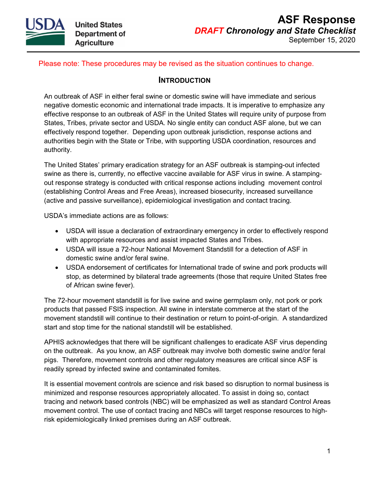

## Please note: These procedures may be revised as the situation continues to change.

## **INTRODUCTION**

An outbreak of ASF in either feral swine or domestic swine will have immediate and serious negative domestic economic and international trade impacts. It is imperative to emphasize any effective response to an outbreak of ASF in the United States will require unity of purpose from States, Tribes, private sector and USDA. No single entity can conduct ASF alone, but we can effectively respond together. Depending upon outbreak jurisdiction, response actions and authorities begin with the State or Tribe, with supporting USDA coordination, resources and authority.

The United States' primary eradication strategy for an ASF outbreak is stamping-out infected swine as there is, currently, no effective vaccine available for ASF virus in swine. A stampingout response strategy is conducted with critical response actions including movement control (establishing Control Areas and Free Areas), increased biosecurity, increased surveillance (active and passive surveillance), epidemiological investigation and contact tracing.

USDA's immediate actions are as follows:

- USDA will issue a declaration of extraordinary emergency in order to effectively respond with appropriate resources and assist impacted States and Tribes.
- USDA will issue a 72-hour National Movement Standstill for a detection of ASF in domestic swine and/or feral swine.
- USDA endorsement of certificates for International trade of swine and pork products will stop, as determined by bilateral trade agreements (those that require United States free of African swine fever).

The 72-hour movement standstill is for live swine and swine germplasm only, not pork or pork products that passed FSIS inspection. All swine in interstate commerce at the start of the movement standstill will continue to their destination or return to point-of-origin. A standardized start and stop time for the national standstill will be established.

APHIS acknowledges that there will be significant challenges to eradicate ASF virus depending on the outbreak. As you know, an ASF outbreak may involve both domestic swine and/or feral pigs. Therefore, movement controls and other regulatory measures are critical since ASF is readily spread by infected swine and contaminated fomites.

It is essential movement controls are science and risk based so disruption to normal business is minimized and response resources appropriately allocated. To assist in doing so, contact tracing and network based controls (NBC) will be emphasized as well as standard Control Areas movement control. The use of contact tracing and NBCs will target response resources to highrisk epidemiologically linked premises during an ASF outbreak.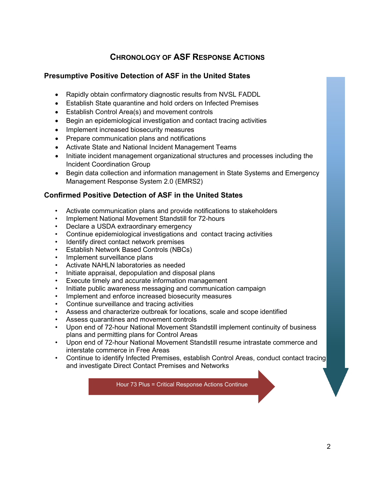# **CHRONOLOGY OF ASF RESPONSE ACTIONS**

## **Presumptive Positive Detection of ASF in the United States**

- Rapidly obtain confirmatory diagnostic results from NVSL FADDL
- Establish State quarantine and hold orders on Infected Premises
- Establish Control Area(s) and movement controls
- Begin an epidemiological investigation and contact tracing activities
- Implement increased biosecurity measures
- Prepare communication plans and notifications
- Activate State and National Incident Management Teams
- Initiate incident management organizational structures and processes including the Incident Coordination Group
- Begin data collection and information management in State Systems and Emergency Management Response System 2.0 (EMRS2)

## **Confirmed Positive Detection of ASF in the United States**

- Activate communication plans and provide notifications to stakeholders
- Implement National Movement Standstill for 72-hours
- Declare a USDA extraordinary emergency
- Continue epidemiological investigations and contact tracing activities
- Identify direct contact network premises
- Establish Network Based Controls (NBCs)
- Implement surveillance plans
- Activate NAHLN laboratories as needed
- Initiate appraisal, depopulation and disposal plans
- Execute timely and accurate information management
- Initiate public awareness messaging and communication campaign
- Implement and enforce increased biosecurity measures
- Continue surveillance and tracing activities
- Assess and characterize outbreak for locations, scale and scope identified
- Assess quarantines and movement controls
- Upon end of 72-hour National Movement Standstill implement continuity of business plans and permitting plans for Control Areas
- Upon end of 72-hour National Movement Standstill resume intrastate commerce and interstate commerce in Free Areas
- Continue to identify Infected Premises, establish Control Areas, conduct contact tracing and investigate Direct Contact Premises and Networks

Hour 73 Plus = Critical Response Actions Continue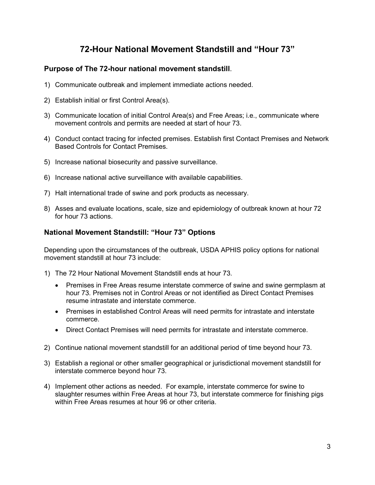## **72-Hour National Movement Standstill and "Hour 73"**

## **Purpose of The 72-hour national movement standstill**.

- 1) Communicate outbreak and implement immediate actions needed.
- 2) Establish initial or first Control Area(s).
- 3) Communicate location of initial Control Area(s) and Free Areas; i.e., communicate where movement controls and permits are needed at start of hour 73.
- 4) Conduct contact tracing for infected premises. Establish first Contact Premises and Network Based Controls for Contact Premises.
- 5) Increase national biosecurity and passive surveillance.
- 6) Increase national active surveillance with available capabilities.
- 7) Halt international trade of swine and pork products as necessary.
- 8) Asses and evaluate locations, scale, size and epidemiology of outbreak known at hour 72 for hour 73 actions.

## **National Movement Standstill: "Hour 73" Options**

Depending upon the circumstances of the outbreak, USDA APHIS policy options for national movement standstill at hour 73 include:

- 1) The 72 Hour National Movement Standstill ends at hour 73.
	- Premises in Free Areas resume interstate commerce of swine and swine germplasm at hour 73. Premises not in Control Areas or not identified as Direct Contact Premises resume intrastate and interstate commerce.
	- Premises in established Control Areas will need permits for intrastate and interstate commerce.
	- Direct Contact Premises will need permits for intrastate and interstate commerce.
- 2) Continue national movement standstill for an additional period of time beyond hour 73.
- 3) Establish a regional or other smaller geographical or jurisdictional movement standstill for interstate commerce beyond hour 73.
- 4) Implement other actions as needed. For example, interstate commerce for swine to slaughter resumes within Free Areas at hour 73, but interstate commerce for finishing pigs within Free Areas resumes at hour 96 or other criteria.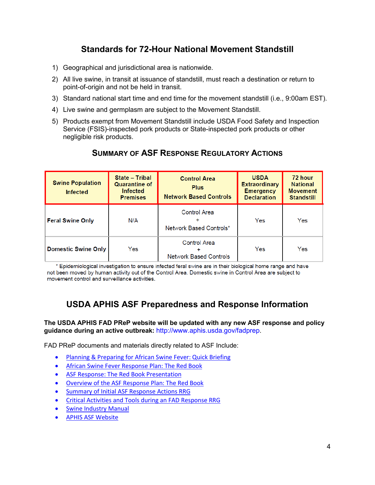# **Standards for 72-Hour National Movement Standstill**

- 1) Geographical and jurisdictional area is nationwide.
- 2) All live swine, in transit at issuance of standstill, must reach a destination or return to point-of-origin and not be held in transit.
- 3) Standard national start time and end time for the movement standstill (i.e., 9:00am EST).
- 4) Live swine and germplasm are subject to the Movement Standstill.
- 5) Products exempt from Movement Standstill include USDA Food Safety and Inspection Service (FSIS)-inspected pork products or State-inspected pork products or other negligible risk products.

| <b>Swine Population</b><br><b>Infected</b> | <b>State - Tribal</b><br><b>Quarantine of</b><br><b>Infected</b><br><b>Premises</b> | <b>Control Area</b><br><b>Plus</b><br><b>Network Based Controls</b> | <b>USDA</b><br><b>Extraordinary</b><br><b>Emergency</b><br><b>Declaration</b> | 72 hour<br><b>National</b><br><b>Movement</b><br><b>Standstill</b> |
|--------------------------------------------|-------------------------------------------------------------------------------------|---------------------------------------------------------------------|-------------------------------------------------------------------------------|--------------------------------------------------------------------|
| <b>Feral Swine Only</b>                    | N/A                                                                                 | <b>Control Area</b><br>Network Based Controls*                      | Yes                                                                           | Yes                                                                |
| <b>Domestic Swine Only</b>                 | Yes                                                                                 | <b>Control Area</b><br><b>Network Based Controls</b>                | Yes                                                                           | Yes                                                                |

## **SUMMARY OF ASF RESPONSE REGULATORY ACTIONS**

\* Epidemiological investigation to ensure infected feral swine are in their biological home range and have not been moved by human activity out of the Control Area. Domestic swine in Control Area are subject to movement control and surveillance activities.

## **USDA APHIS ASF Preparedness and Response Information**

**The USDA APHIS FAD PReP website will be updated with any new ASF response and policy guidance during an active outbreak:** [http://www.aphis.usda.gov/fadprep.](http://www.aphis.usda.gov/fadprep)

FAD PReP documents and materials directly related to ASF Include:

- [Planning & Preparing for African Swine Fever: Quick Briefing](https://www.aphis.usda.gov/animal_health/emergency_management/downloads/asf-briefing-plan-prepare.pdf)
- [African Swine Fever Response Plan: The Red Book](https://www.aphis.usda.gov/animal_health/emergency_management/downloads/asf-responseplan.pdf)
- [ASF Response: The Red Book Presentation](https://www.aphis.usda.gov/animal_health/emergency_management/downloads/asf-responseplan-ppt.pdf)
- [Overview of the ASF Response Plan: The Red Book](https://www.aphis.usda.gov/animal_health/downloads/animal_diseases/swine/fsc-asf-plan-overview.pdf)
- [Summary of Initial ASF Response Actions RRG](https://www.aphis.usda.gov/animal_health/downloads/animal_diseases/swine/fsc-asf-summary-initial-actions.pdf)
- [Critical Activities and Tools during an FAD Response RRG](https://www.aphis.usda.gov/animal_health/downloads/animal_diseases/swine/fsc-fadprep-critical-activities.pdf)
- **[Swine Industry Manual](https://www.aphis.usda.gov/animal_health/emergency_management/downloads/documents_manuals/swine_industry_manual.pdf)**
- [APHIS ASF Website](https://www.aphis.usda.gov/aphis/ourfocus/animalhealth/animal-disease-information/swine-disease-information/african-swine-fever)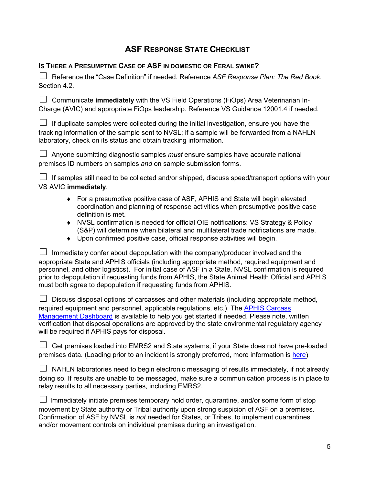## **ASF RESPONSE STATE CHECKLIST**

#### **IS THERE A PRESUMPTIVE CASE OF ASF IN DOMESTIC OR FERAL SWINE?**

☐ Reference the "Case Definition" if needed. Reference *ASF Response Plan: The Red Book*, Section 4.2.

□ Communicate **immediately** with the VS Field Operations (FiOps) Area Veterinarian In-Charge (AVIC) and appropriate FiOps leadership. Reference VS Guidance 12001.4 if needed.

 $\Box$  If duplicate samples were collected during the initial investigation, ensure you have the tracking information of the sample sent to NVSL; if a sample will be forwarded from a NAHLN laboratory, check on its status and obtain tracking information.

☐ Anyone submitting diagnostic samples *must* ensure samples have accurate national premises ID numbers on samples *and* on sample submission forms.

 $□$  If samples still need to be collected and/or shipped, discuss speed/transport options with your VS AVIC **immediately**.

- ◆ For a presumptive positive case of ASF, APHIS and State will begin elevated coordination and planning of response activities when presumptive positive case definition is met.
- ♦ NVSL confirmation is needed for official OIE notifications: VS Strategy & Policy (S&P) will determine when bilateral and multilateral trade notifications are made.
- ♦ Upon confirmed positive case, official response activities will begin.

 $\Box$  Immediately confer about depopulation with the company/producer involved and the appropriate State and APHIS officials (including appropriate method, required equipment and personnel, and other logistics). For initial case of ASF in a State, NVSL confirmation is required prior to depopulation if requesting funds from APHIS, the State Animal Health Official and APHIS must both agree to depopulation if requesting funds from APHIS.

| $\Box$ Discuss disposal options of carcasses and other materials (including appropriate method, |
|-------------------------------------------------------------------------------------------------|
| required equipment and personnel, applicable requiations, etc.). The APHIS Carcass              |
| Management Dashboard is available to help you get started if needed. Please note, written       |
| verification that disposal operations are approved by the state environmental regulatory agency |
| will be required if APHIS pays for disposal.                                                    |

 $\Box$  Get premises loaded into EMRS2 and State systems, if your State does not have pre-loaded premises data. (Loading prior to an incident is strongly preferred, more information is [here\)](https://www.aphis.usda.gov/animal_health/emergency_management/downloads/emrs_premisesdatatransfer.pdf).

| $\Box$ NAHLN laboratories need to begin electronic messaging of results immediately, if not already |
|-----------------------------------------------------------------------------------------------------|
| doing so. If results are unable to be messaged, make sure a communication process is in place to    |
| relay results to all necessary parties, including EMRS2.                                            |

| $\Box$ Immediately initiate premises temporary hold order, quarantine, and/or some form of stop |
|-------------------------------------------------------------------------------------------------|
| movement by State authority or Tribal authority upon strong suspicion of ASF on a premises.     |
| Confirmation of ASF by NVSL is not needed for States, or Tribes, to implement quarantines       |
| and/or movement controls on individual premises during an investigation.                        |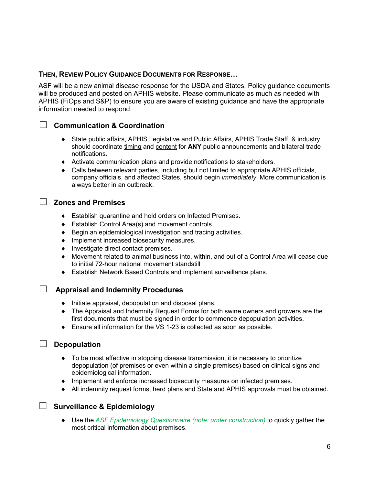#### **THEN, REVIEW POLICY GUIDANCE DOCUMENTS FOR RESPONSE…**

ASF will be a new animal disease response for the USDA and States. Policy guidance documents will be produced and posted on APHIS website. Please communicate as much as needed with APHIS (FiOps and S&P) to ensure you are aware of existing guidance and have the appropriate information needed to respond.

## ☐ **Communication & Coordination**

- ♦ State public affairs, APHIS Legislative and Public Affairs, APHIS Trade Staff, & industry should coordinate timing and content for **ANY** public announcements and bilateral trade notifications.
- ♦ Activate communication plans and provide notifications to stakeholders.
- ♦ Calls between relevant parties, including but not limited to appropriate APHIS officials, company officials, and affected States, should begin *immediately*. More communication is always better in an outbreak.

#### ☐ **Zones and Premises**

- ♦ Establish quarantine and hold orders on Infected Premises.
- ♦ Establish Control Area(s) and movement controls.
- ♦ Begin an epidemiological investigation and tracing activities.
- ♦ Implement increased biosecurity measures.
- ♦ Investigate direct contact premises.
- Movement related to animal business into, within, and out of a Control Area will cease due to initial 72-hour national movement standstill
- ♦ Establish Network Based Controls and implement surveillance plans.

### ☐ **Appraisal and Indemnity Procedures**

- ♦ Initiate appraisal, depopulation and disposal plans.
- ♦ The Appraisal and Indemnity Request Forms for both swine owners and growers are the first documents that must be signed in order to commence depopulation activities.
- ♦ Ensure all information for the VS 1-23 is collected as soon as possible.

#### ☐ **Depopulation**

- ♦ To be most effective in stopping disease transmission, it is necessary to prioritize depopulation (of premises or even within a single premises) based on clinical signs and epidemiological information.
- ♦ Implement and enforce increased biosecurity measures on infected premises.
- ♦ All indemnity request forms, herd plans and State and APHIS approvals must be obtained.

### ☐ **Surveillance & Epidemiology**

♦ Use the *ASF Epidemiology Questionnaire (note: under construction)* to quickly gather the most critical information about premises.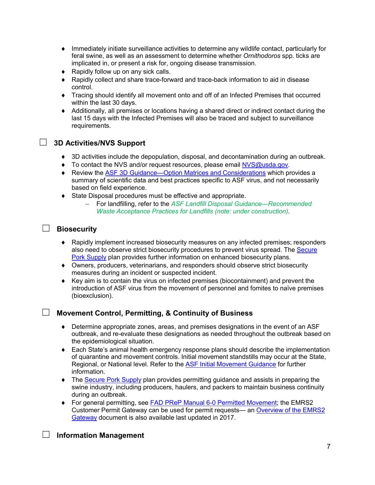- ♦ Immediately initiate surveillance activities to determine any wildlife contact, particularly for feral swine, as well as an assessment to determine whether *Ornithodoros* spp. ticks are implicated in, or present a risk for, ongoing disease transmission.
- Rapidly follow up on any sick calls.
- ♦ Rapidly collect and share trace-forward and trace-back information to aid in disease control.
- ♦ Tracing should identify all movement onto and off of an Infected Premises that occurred within the last 30 days.
- ♦ Additionally, all premises or locations having a shared direct or indirect contact during the last 15 days with the Infected Premises will also be traced and subject to surveillance requirements.

## ☐ **3D Activities/NVS Support**

- ♦ 3D activities include the depopulation, disposal, and decontamination during an outbreak.
- ◆ To contact the NVS and/or request resources, please email [NVS@usda.gov.](mailto:NVS@usda.gov)
- ◆ Review the [ASF 3D Guidance—Option Matrices and Considerations](https://www.aphis.usda.gov/animal_health/carcass/docs/asf-3d-summary-guidance.pdf) which provides a summary of scientific data and best practices specific to ASF virus, and not necessarily based on field experience.
- ♦ State Disposal procedures must be effective and appropriate.
	- − For landfilling, refer to the *ASF Landfill Disposal Guidance—Recommended Waste Acceptance Practices for Landfills (note: under construction)*.

#### ☐ **Biosecurity**

- ♦ Rapidly implement increased biosecurity measures on any infected premises; responders also need to observe strict biosecurity procedures to prevent virus spread. The [Secure](http://www.securepork.org/pork-producers/biosecurity/)  [Pork Supply](http://www.securepork.org/pork-producers/biosecurity/) plan provides further information on enhanced biosecurity plans.
- ♦ Owners, producers, veterinarians, and responders should observe strict biosecurity measures during an incident or suspected incident.
- ♦ Key aim is to contain the virus on infected premises (biocontainment) and prevent the introduction of ASF virus from the movement of personnel and fomites to naïve premises (bioexclusion).

#### ☐ **Movement Control, Permitting, & Continuity of Business**

- ♦ Determine appropriate zones, areas, and premises designations in the event of an ASF outbreak, and re-evaluate these designations as needed throughout the outbreak based on the epidemiological situation.
- ♦ Each State's animal health emergency response plans should describe the implementation of quarantine and movement controls. Initial movement standstills may occur at the State, Regional, or National level. Refer to the [ASF Initial Movement Guidance](https://www.aphis.usda.gov/animal_health/downloads/animal_diseases/swine/fsc-asf-summary-initial-actions.pdf) for further information.
- The [Secure Pork Supply](http://www.securepork.org/) plan provides permitting guidance and assists in preparing the swine industry, including producers, haulers, and packers to maintain business continuity during an outbreak.
- ♦ For general permitting, see [FAD PReP Manual 6-0 Permitted Movement;](https://www.aphis.usda.gov/animal_health/emergency_management/downloads/documents_manuals/fadprep_man6-0_permit-mvmt.pdf) the EMRS2 Customer Permit Gateway can be used for permit requests— an [Overview of the EMRS2](https://www.aphis.usda.gov/animal_health/emergency_management/downloads/hpai/gatewayinfo.pdf)  [Gateway](https://www.aphis.usda.gov/animal_health/emergency_management/downloads/hpai/gatewayinfo.pdf) document is also available last updated in 2017.

#### ☐ **Information Management**